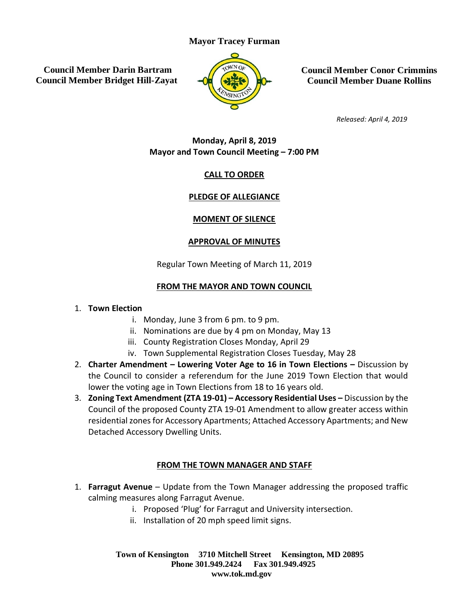### **Mayor Tracey Furman**

**Council Member Darin Bartram Council Member Bridget Hill-Zayat**



**Council Member Conor Crimmins Council Member Duane Rollins**

*Released: April 4, 2019*

## **Monday, April 8, 2019 Mayor and Town Council Meeting – 7:00 PM**

# **CALL TO ORDER**

## **PLEDGE OF ALLEGIANCE**

# **MOMENT OF SILENCE**

## **APPROVAL OF MINUTES**

Regular Town Meeting of March 11, 2019

# **FROM THE MAYOR AND TOWN COUNCIL**

### 1. **Town Election**

- i. Monday, June 3 from 6 pm. to 9 pm.
- ii. Nominations are due by 4 pm on Monday, May 13
- iii. County Registration Closes Monday, April 29
- iv. Town Supplemental Registration Closes Tuesday, May 28
- 2. **Charter Amendment – Lowering Voter Age to 16 in Town Elections –** Discussion by the Council to consider a referendum for the June 2019 Town Election that would lower the voting age in Town Elections from 18 to 16 years old.
- 3. **Zoning Text Amendment (ZTA 19-01) – Accessory Residential Uses –** Discussion by the Council of the proposed County ZTA 19-01 Amendment to allow greater access within residential zones for Accessory Apartments; Attached Accessory Apartments; and New Detached Accessory Dwelling Units.

## **FROM THE TOWN MANAGER AND STAFF**

- 1. **Farragut Avenue** Update from the Town Manager addressing the proposed traffic calming measures along Farragut Avenue.
	- i. Proposed 'Plug' for Farragut and University intersection.
	- ii. Installation of 20 mph speed limit signs.

**Town of Kensington 3710 Mitchell Street Kensington, MD 20895 Phone 301.949.2424 Fax 301.949.4925 www.tok.md.gov**